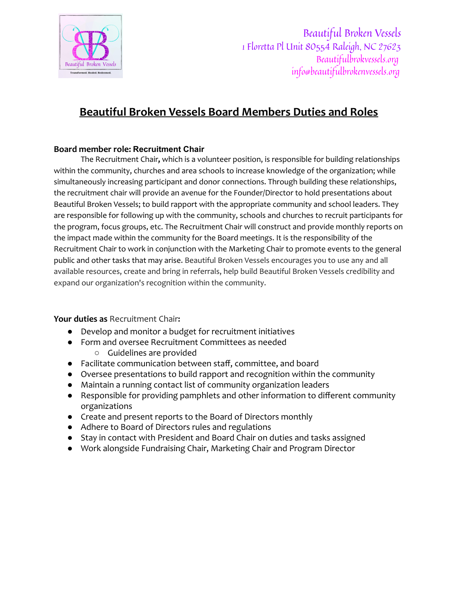

Beautiful Broken Vessels 1 Floretta Pl Unit 80554 Raleigh, NC 27623 Beautifulbrokvessels.org info@beautifulbrokenvessels.org

## **Beautiful Broken Vessels Board Members Duties and Roles**

## **Board member role: Recruitment Chair**

The Recruitment Chair**,** which is a volunteer position, is responsible for building relationships within the community, churches and area schools to increase knowledge of the organization; while simultaneously increasing participant and donor connections. Through building these relationships, the recruitment chair will provide an avenue for the Founder/Director to hold presentations about Beautiful Broken Vessels; to build rapport with the appropriate community and school leaders. They are responsible for following up with the community, schools and churches to recruit participants for the program, focus groups, etc. The Recruitment Chair will construct and provide monthly reports on the impact made within the community for the Board meetings. It is the responsibility of the Recruitment Chair to work in conjunction with the Marketing Chair to promote events to the general public and other tasks that may arise. Beautiful Broken Vessels encourages you to use any and all available resources, create and bring in referrals, help build Beautiful Broken Vessels credibility and expand our organization's recognition within the community.

**Your duties as** Recruitment Chair**:**

- **●** Develop and monitor a budget for recruitment initiatives
- Form and oversee Recruitment Committees as needed
	- Guidelines are provided
- **●** Facilitate communication between staff, committee, and board
- **●** Oversee presentations to build rapport and recognition within the community
- **●** Maintain a running contact list of community organization leaders
- Responsible for providing pamphlets and other information to different community organizations
- Create and present reports to the Board of Directors monthly
- Adhere to Board of Directors rules and regulations
- Stay in contact with President and Board Chair on duties and tasks assigned
- Work alongside Fundraising Chair, Marketing Chair and Program Director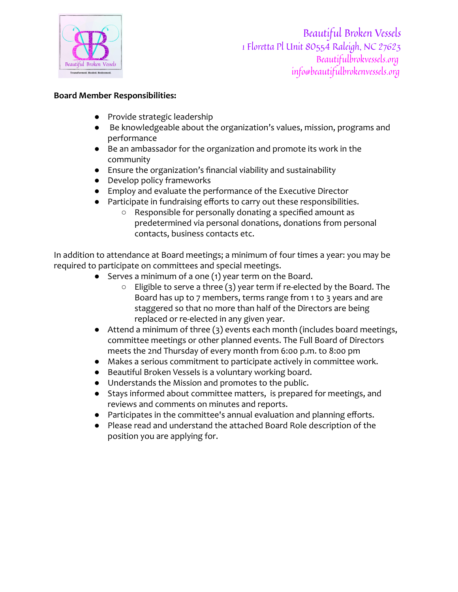

Beautiful Broken Vessels 1 Floretta Pl Unit 80554 Raleigh, NC 27623 Beautifulbrokvessels.org info@beautifulbrokenvessels.org

## **Board Member Responsibilities:**

- Provide strategic leadership
- Be knowledgeable about the organization's values, mission, programs and performance
- Be an ambassador for the organization and promote its work in the community
- Ensure the organization's financial viability and sustainability
- Develop policy frameworks
- Employ and evaluate the performance of the Executive Director
- Participate in fundraising efforts to carry out these responsibilities.
	- Responsible for personally donating a specified amount as predetermined via personal donations, donations from personal contacts, business contacts etc.

In addition to attendance at Board meetings; a minimum of four times a year: you may be required to participate on committees and special meetings.

- Serves a minimum of a one (1) year term on the Board.
	- Eligible to serve a three (3) year term if re-elected by the Board. The Board has up to 7 members, terms range from 1 to 3 years and are staggered so that no more than half of the Directors are being replaced or re-elected in any given year.
- Attend a minimum of three (3) events each month (includes board meetings, committee meetings or other planned events. The Full Board of Directors meets the 2nd Thursday of every month from 6:00 p.m. to 8:00 pm
- Makes a serious commitment to participate actively in committee work.
- Beautiful Broken Vessels is a voluntary working board.
- Understands the Mission and promotes to the public.
- Stays informed about committee matters, is prepared for meetings, and reviews and comments on minutes and reports.
- Participates in the committee's annual evaluation and planning efforts.
- Please read and understand the attached Board Role description of the position you are applying for.